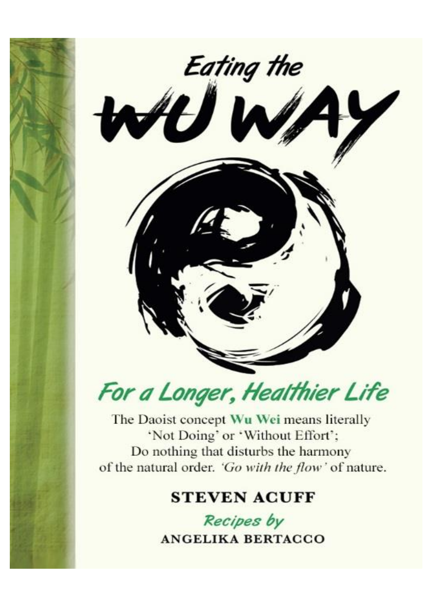



The Daoist concept Wu Wei means literally 'Not Doing' or 'Without Effort'; Do nothing that disturbs the harmony of the natural order. 'Go with the flow' of nature.

# **STEVEN ACUFF**

Recipes by **ANGELIKA BERTACCO**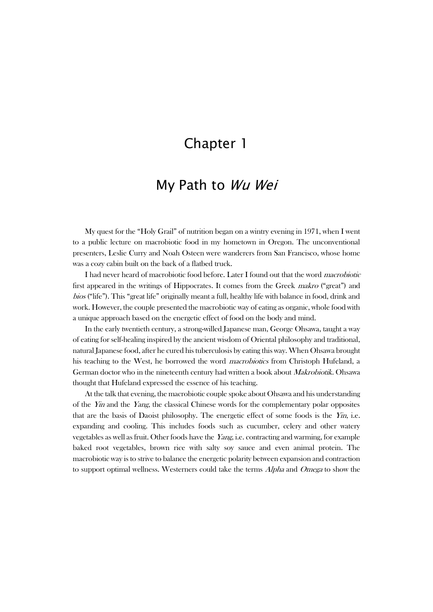## Chapter 1

## My Path to Wu Wei

My quest for the "Holy Grail" of nutrition began on a wintry evening in 1971, when I went to a public lecture on macrobiotic food in my hometown in Oregon. The unconventional presenters, Leslie Curry and Noah Osteen were wanderers from San Francisco, whose home was a cozy cabin built on the back of a flatbed truck.

I had never heard of macrobiotic food before. Later I found out that the word macrobiotic first appeared in the writings of Hippocrates. It comes from the Greek makro ("great") and bios ("life"). This "great life" originally meant a full, healthy life with balance in food, drink and work. However, the couple presented the macrobiotic way of eating as organic, whole food with a unique approach based on the energetic effect of food on the body and mind.

In the early twentieth century, a strong-willed Japanese man, George Ohsawa, taught a way of eating for self-healing inspired by the ancient wisdom of Oriental philosophy and traditional, natural Japanese food, after he cured his tuberculosis by eating this way. When Ohsawa brought his teaching to the West, he borrowed the word *macrobiotics* from Christoph Hufeland, a German doctor who in the nineteenth century had written a book about *Makrobiotik*. Ohsawa thought that Hufeland expressed the essence of his teaching.

At the talk that evening, the macrobiotic couple spoke about Ohsawa and his understanding of the  $Y_{\text{III}}$  and the Yang, the classical Chinese words for the complementary polar opposites that are the basis of Daoist philosophy. The energetic effect of some foods is the  $Y_{II}$ , i.e. expanding and cooling. This includes foods such as cucumber, celery and other watery vegetables as well as fruit. Other foods have the Yang, i.e. contracting and warming, for example baked root vegetables, brown rice with salty soy sauce and even animal protein. The macrobiotic way is to strive to balance the energetic polarity between expansion and contraction to support optimal wellness. Westerners could take the terms *Alpha* and *Omega* to show the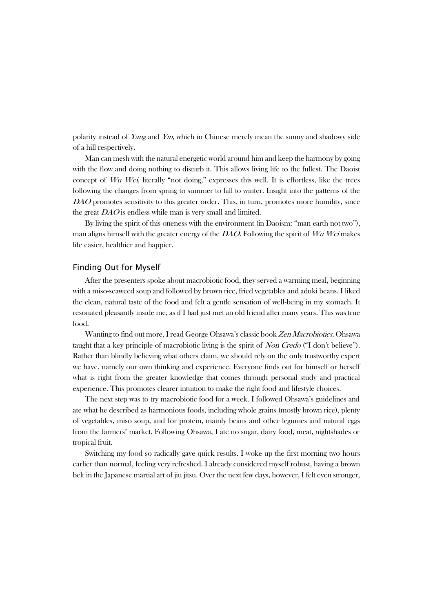polarity instead of Yang and Yin, which in Chinese merely mean the sunny and shadowy side of a hill respectively.

Man can mesh with the natural energetic world around him and keep the harmony by going with the flow and doing nothing to disturb it. This allows living life to the fullest. The Daoist concept of Wu Wei, literally "not doing," expresses this well. It is effortless, like the trees following the changes from spring to summer to fall to winter. Insight into the patterns of the DAO promotes sensitivity to this greater order. This, in turn, promotes more humility, since the great DAO is endless while man is very small and limited.

By living the spirit of this oneness with the environment (in Daoism: "man earth not two"), man aligns himself with the greater energy of the DAO. Following the spirit of Wu Wei makes life easier, healthier and happier.

#### Finding Out for Myself

After the presenters spoke about macrobiotic food, they served a warming meal, beginning with a miso-seaweed soup and followed by brown rice, fried vegetables and aduki beans. I liked the clean, natural taste of the food and felt a gentle sensation of well-being in my stomach. It resonated pleasantly inside me, as if I had just met an old friend after many years. This was true food.

Wanting to find out more, I read George Ohsawa's classic book Zen Macrobiotics. Ohsawa taught that a key principle of macrobiotic living is the spirit of Non Credo ("I don't believe"). Rather than blindly believing what others claim, we should rely on the only trustworthy expert we have, namely our own thinking and experience. Everyone finds out for himself or herself what is right from the greater knowledge that comes through personal study and practical experience. This promotes clearer intuition to make the right food and lifestyle choices.

The next step was to try macrobiotic food for a week. I followed Ohsawa's guidelines and ate what he described as harmonious foods, including whole grains (mostly brown rice), plenty of vegetables, miso soup, and for protein, mainly beans and other legumes and natural eggs from the farmers' market. Following Ohsawa, I ate no sugar, dairy food, meat, nightshades or tropical fruit.

Switching my food so radically gave quick results. I woke up the first morning two hours earlier than normal, feeling very refreshed. I already considered myself robust, having a brown belt in the Japanese martial art of jiu jitsu. Over the next few days, however, I felt even stronger,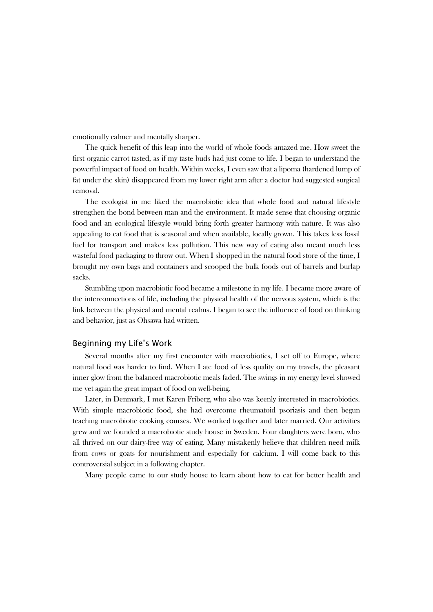emotionally calmer and mentally sharper.

The quick benefit of this leap into the world of whole foods amazed me. How sweet the first organic carrot tasted, as if my taste buds had just come to life. I began to understand the powerful impact of food on health. Within weeks, I even saw that a lipoma (hardened lump of fat under the skin) disappeared from my lower right arm after a doctor had suggested surgical removal.

The ecologist in me liked the macrobiotic idea that whole food and natural lifestyle strengthen the bond between man and the environment. It made sense that choosing organic food and an ecological lifestyle would bring forth greater harmony with nature. It was also appealing to eat food that is seasonal and when available, locally grown. This takes less fossil fuel for transport and makes less pollution. This new way of eating also meant much less wasteful food packaging to throw out. When I shopped in the natural food store of the time, I brought my own bags and containers and scooped the bulk foods out of barrels and burlap sacks.

Stumbling upon macrobiotic food became a milestone in my life. I became more aware of the interconnections of life, including the physical health of the nervous system, which is the link between the physical and mental realms. I began to see the influence of food on thinking and behavior, just as Ohsawa had written.

#### Beginning my Life's Work

Several months after my first encounter with macrobiotics, I set off to Europe, where natural food was harder to find. When I ate food of less quality on my travels, the pleasant inner glow from the balanced macrobiotic meals faded. The swings in my energy level showed me yet again the great impact of food on well-being.

Later, in Denmark, I met Karen Friberg, who also was keenly interested in macrobiotics. With simple macrobiotic food, she had overcome rheumatoid psoriasis and then begun teaching macrobiotic cooking courses. We worked together and later married. Our activities grew and we founded a macrobiotic study house in Sweden. Four daughters were born, who all thrived on our dairy-free way of eating. Many mistakenly believe that children need milk from cows or goats for nourishment and especially for calcium. I will come back to this controversial subject in a following chapter.

Many people came to our study house to learn about how to eat for better health and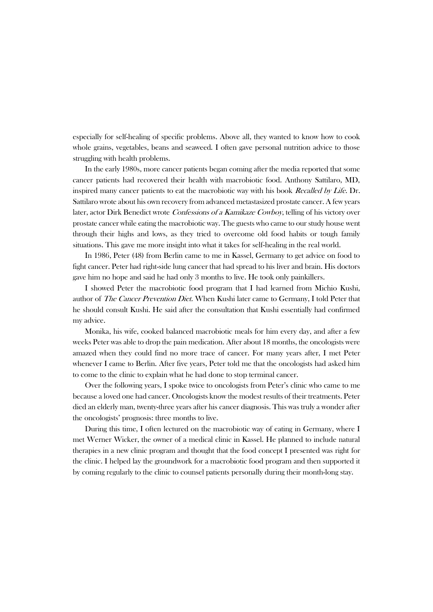especially for self-healing of specific problems. Above all, they wanted to know how to cook whole grains, vegetables, beans and seaweed. I often gave personal nutrition advice to those struggling with health problems.

In the early 1980s, more cancer patients began coming after the media reported that some cancer patients had recovered their health with macrobiotic food. Anthony Sattilaro, MD, inspired many cancer patients to eat the macrobiotic way with his book Recalled by Life. Dr. Sattilaro wrote about his own recovery from advanced metastasized prostate cancer. A few years later, actor Dirk Benedict wrote Confessions of a Kamikaze Cowboy, telling of his victory over prostate cancer while eating the macrobiotic way. The guests who came to our study house went through their highs and lows, as they tried to overcome old food habits or tough family situations. This gave me more insight into what it takes for self-healing in the real world.

In 1986, Peter (48) from Berlin came to me in Kassel, Germany to get advice on food to fight cancer. Peter had right-side lung cancer that had spread to his liver and brain. His doctors gave him no hope and said he had only 3 months to live. He took only painkillers.

I showed Peter the macrobiotic food program that I had learned from Michio Kushi, author of The Cancer Prevention Diet. When Kushi later came to Germany, I told Peter that he should consult Kushi. He said after the consultation that Kushi essentially had confirmed my advice.

Monika, his wife, cooked balanced macrobiotic meals for him every day, and after a few weeks Peter was able to drop the pain medication. After about 18 months, the oncologists were amazed when they could find no more trace of cancer. For many years after, I met Peter whenever I came to Berlin. After five years, Peter told me that the oncologists had asked him to come to the clinic to explain what he had done to stop terminal cancer.

Over the following years, I spoke twice to oncologists from Peter's clinic who came to me because a loved one had cancer. Oncologists know the modest results of their treatments. Peter died an elderly man, twenty-three years after his cancer diagnosis. This was truly a wonder after the oncologists' prognosis: three months to live.

During this time, I often lectured on the macrobiotic way of eating in Germany, where I met Werner Wicker, the owner of a medical clinic in Kassel. He planned to include natural therapies in a new clinic program and thought that the food concept I presented was right for the clinic. I helped lay the groundwork for a macrobiotic food program and then supported it by coming regularly to the clinic to counsel patients personally during their month-long stay.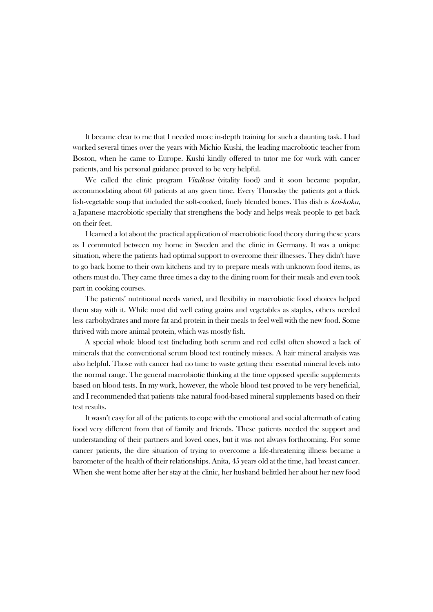It became clear to me that I needed more in-depth training for such a daunting task. I had worked several times over the years with Michio Kushi, the leading macrobiotic teacher from Boston, when he came to Europe. Kushi kindly offered to tutor me for work with cancer patients, and his personal guidance proved to be very helpful.

We called the clinic program *Vitalkost* (vitality food) and it soon became popular, accommodating about 60 patients at any given time. Every Thursday the patients got a thick fish-vegetable soup that included the soft-cooked, finely blended bones. This dish is koi-koku, a Japanese macrobiotic specialty that strengthens the body and helps weak people to get back on their feet.

I learned a lot about the practical application of macrobiotic food theory during these years as I commuted between my home in Sweden and the clinic in Germany. It was a unique situation, where the patients had optimal support to overcome their illnesses. They didn't have to go back home to their own kitchens and try to prepare meals with unknown food items, as others must do. They came three times a day to the dining room for their meals and even took part in cooking courses.

The patients' nutritional needs varied, and flexibility in macrobiotic food choices helped them stay with it. While most did well eating grains and vegetables as staples, others needed less carbohydrates and more fat and protein in their meals to feel well with the new food. Some thrived with more animal protein, which was mostly fish.

A special whole blood test (including both serum and red cells) often showed a lack of minerals that the conventional serum blood test routinely misses. A hair mineral analysis was also helpful. Those with cancer had no time to waste getting their essential mineral levels into the normal range. The general macrobiotic thinking at the time opposed specific supplements based on blood tests. In my work, however, the whole blood test proved to be very beneficial, and I recommended that patients take natural food-based mineral supplements based on their test results.

It wasn't easy for all of the patients to cope with the emotional and social aftermath of eating food very different from that of family and friends. These patients needed the support and understanding of their partners and loved ones, but it was not always forthcoming. For some cancer patients, the dire situation of trying to overcome a life-threatening illness became a barometer of the health of their relationships. Anita, 45 years old at the time, had breast cancer. When she went home after her stay at the clinic, her husband belittled her about her new food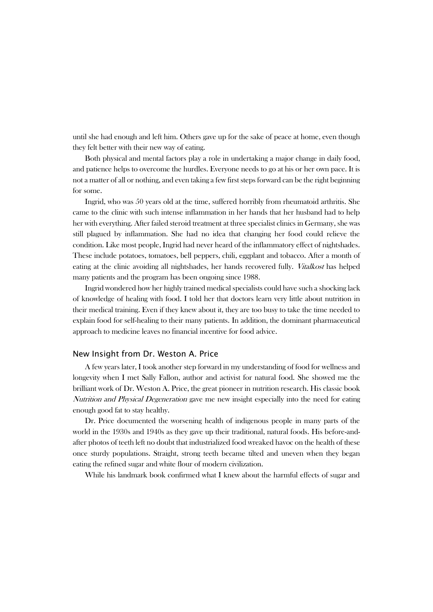until she had enough and left him. Others gave up for the sake of peace at home, even though they felt better with their new way of eating.

Both physical and mental factors play a role in undertaking a major change in daily food, and patience helps to overcome the hurdles. Everyone needs to go at his or her own pace. It is not a matter of all or nothing, and even taking a few first steps forward can be the right beginning for some.

Ingrid, who was 50 years old at the time, suffered horribly from rheumatoid arthritis. She came to the clinic with such intense inflammation in her hands that her husband had to help her with everything. After failed steroid treatment at three specialist clinics in Germany, she was still plagued by inflammation. She had no idea that changing her food could relieve the condition. Like most people, Ingrid had never heard of the inflammatory effect of nightshades. These include potatoes, tomatoes, bell peppers, chili, eggplant and tobacco. After a month of eating at the clinic avoiding all nightshades, her hands recovered fully. Vitalkost has helped many patients and the program has been ongoing since 1988.

Ingrid wondered how her highly trained medical specialists could have such a shocking lack of knowledge of healing with food. I told her that doctors learn very little about nutrition in their medical training. Even if they knew about it, they are too busy to take the time needed to explain food for self-healing to their many patients. In addition, the dominant pharmaceutical approach to medicine leaves no financial incentive for food advice.

#### New Insight from Dr. Weston A. Price

A few years later, I took another step forward in my understanding of food for wellness and longevity when I met Sally Fallon, author and activist for natural food. She showed me the brilliant work of Dr. Weston A. Price, the great pioneer in nutrition research. His classic book Nutrition and Physical Degeneration gave me new insight especially into the need for eating enough good fat to stay healthy.

Dr. Price documented the worsening health of indigenous people in many parts of the world in the 1930s and 1940s as they gave up their traditional, natural foods. His before-andafter photos of teeth left no doubt that industrialized food wreaked havoc on the health of these once sturdy populations. Straight, strong teeth became tilted and uneven when they began eating the refined sugar and white flour of modern civilization.

While his landmark book confirmed what I knew about the harmful effects of sugar and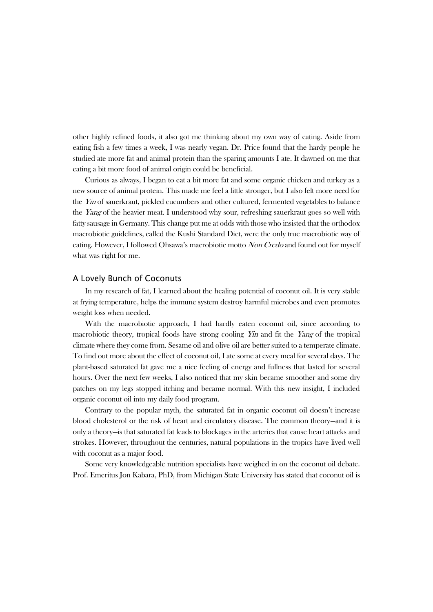other highly refined foods, it also got me thinking about my own way of eating. Aside from eating fish a few times a week, I was nearly vegan. Dr. Price found that the hardy people he studied ate more fat and animal protein than the sparing amounts I ate. It dawned on me that eating a bit more food of animal origin could be beneficial.

Curious as always, I began to eat a bit more fat and some organic chicken and turkey as a new source of animal protein. This made me feel a little stronger, but I also felt more need for the Yin of sauerkraut, pickled cucumbers and other cultured, fermented vegetables to balance the *Yang* of the heavier meat. I understood why sour, refreshing sauerkraut goes so well with fatty sausage in Germany. This change put me at odds with those who insisted that the orthodox macrobiotic guidelines, called the Kushi Standard Diet, were the only true macrobiotic way of eating. However, I followed Ohsawa's macrobiotic motto Non Credo and found out for myself what was right for me.

#### A Lovely Bunch of Coconuts

In my research of fat, I learned about the healing potential of coconut oil. It is very stable at frying temperature, helps the immune system destroy harmful microbes and even promotes weight loss when needed.

With the macrobiotic approach, I had hardly eaten coconut oil, since according to macrobiotic theory, tropical foods have strong cooling  $Y_{in}$  and fit the Yang of the tropical climate where they come from. Sesame oil and olive oil are better suited to a temperate climate. To find out more about the effect of coconut oil, I ate some at every meal for several days. The plant-based saturated fat gave me a nice feeling of energy and fullness that lasted for several hours. Over the next few weeks, I also noticed that my skin became smoother and some dry patches on my legs stopped itching and became normal. With this new insight, I included organic coconut oil into my daily food program.

Contrary to the popular myth, the saturated fat in organic coconut oil doesn't increase blood cholesterol or the risk of heart and circulatory disease. The common theory—and it is only a theory—is that saturated fat leads to blockages in the arteries that cause heart attacks and strokes. However, throughout the centuries, natural populations in the tropics have lived well with coconut as a major food.

Some very knowledgeable nutrition specialists have weighed in on the coconut oil debate. Prof. Emeritus Jon Kabara, PhD, from Michigan State University has stated that coconut oil is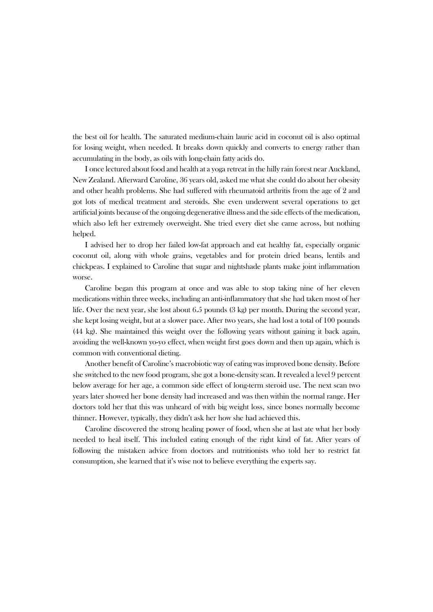the best oil for health. The saturated medium-chain lauric acid in coconut oil is also optimal for losing weight, when needed. It breaks down quickly and converts to energy rather than accumulating in the body, as oils with long-chain fatty acids do.

I once lectured about food and health at a yoga retreat in the hilly rain forest near Auckland, New Zealand. Afterward Caroline, 36 years old, asked me what she could do about her obesity and other health problems. She had suffered with rheumatoid arthritis from the age of 2 and got lots of medical treatment and steroids. She even underwent several operations to get artificial joints because of the ongoing degenerative illness and the side effects of the medication, which also left her extremely overweight. She tried every diet she came across, but nothing helped.

I advised her to drop her failed low-fat approach and eat healthy fat, especially organic coconut oil, along with whole grains, vegetables and for protein dried beans, lentils and chickpeas. I explained to Caroline that sugar and nightshade plants make joint inflammation worse.

Caroline began this program at once and was able to stop taking nine of her eleven medications within three weeks, including an anti-inflammatory that she had taken most of her life. Over the next year, she lost about 6.5 pounds (3 kg) per month. During the second year, she kept losing weight, but at a slower pace. After two years, she had lost a total of 100 pounds (44 kg). She maintained this weight over the following years without gaining it back again, avoiding the well-known yo-yo effect, when weight first goes down and then up again, which is common with conventional dieting.

Another benefit of Caroline's macrobiotic way of eating was improved bone density. Before she switched to the new food program, she got a bone-density scan. It revealed a level 9 percent below average for her age, a common side effect of long-term steroid use. The next scan two years later showed her bone density had increased and was then within the normal range. Her doctors told her that this was unheard of with big weight loss, since bones normally become thinner. However, typically, they didn't ask her how she had achieved this.

Caroline discovered the strong healing power of food, when she at last ate what her body needed to heal itself. This included eating enough of the right kind of fat. After years of following the mistaken advice from doctors and nutritionists who told her to restrict fat consumption, she learned that it's wise not to believe everything the experts say.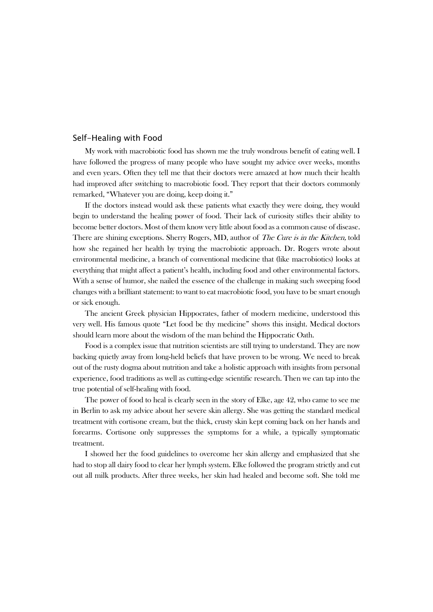#### Self-Healing with Food

My work with macrobiotic food has shown me the truly wondrous benefit of eating well. I have followed the progress of many people who have sought my advice over weeks, months and even years. Often they tell me that their doctors were amazed at how much their health had improved after switching to macrobiotic food. They report that their doctors commonly remarked, "Whatever you are doing, keep doing it."

If the doctors instead would ask these patients what exactly they were doing, they would begin to understand the healing power of food. Their lack of curiosity stifles their ability to become better doctors. Most of them know very little about food as a common cause of disease. There are shining exceptions. Sherry Rogers, MD, author of *The Cure is in the Kitchen*, told how she regained her health by trying the macrobiotic approach. Dr. Rogers wrote about environmental medicine, a branch of conventional medicine that (like macrobiotics) looks at everything that might affect a patient's health, including food and other environmental factors. With a sense of humor, she nailed the essence of the challenge in making such sweeping food changes with a brilliant statement: to want to eat macrobiotic food, you have to be smart enough or sick enough.

The ancient Greek physician Hippocrates, father of modern medicine, understood this very well. His famous quote "Let food be thy medicine" shows this insight. Medical doctors should learn more about the wisdom of the man behind the Hippocratic Oath.

Food is a complex issue that nutrition scientists are still trying to understand. They are now backing quietly away from long-held beliefs that have proven to be wrong. We need to break out of the rusty dogma about nutrition and take a holistic approach with insights from personal experience, food traditions as well as cutting-edge scientific research. Then we can tap into the true potential of self-healing with food.

The power of food to heal is clearly seen in the story of Elke, age 42, who came to see me in Berlin to ask my advice about her severe skin allergy. She was getting the standard medical treatment with cortisone cream, but the thick, crusty skin kept coming back on her hands and forearms. Cortisone only suppresses the symptoms for a while, a typically symptomatic treatment.

I showed her the food guidelines to overcome her skin allergy and emphasized that she had to stop all dairy food to clear her lymph system. Elke followed the program strictly and cut out all milk products. After three weeks, her skin had healed and become soft. She told me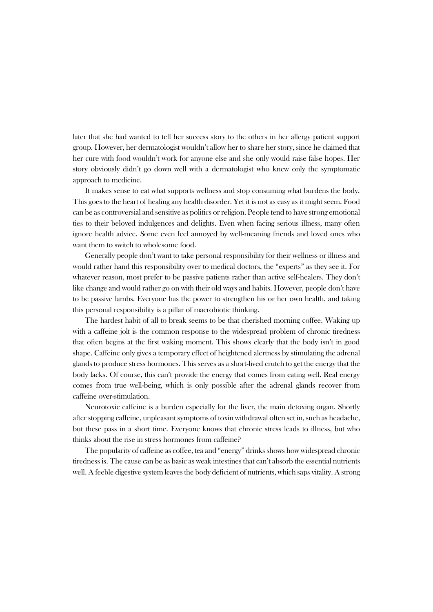later that she had wanted to tell her success story to the others in her allergy patient support group. However, her dermatologist wouldn't allow her to share her story, since he claimed that her cure with food wouldn't work for anyone else and she only would raise false hopes. Her story obviously didn't go down well with a dermatologist who knew only the symptomatic approach to medicine.

It makes sense to eat what supports wellness and stop consuming what burdens the body. This goes to the heart of healing any health disorder. Yet it is not as easy as it might seem. Food can be as controversial and sensitive as politics or religion. People tend to have strong emotional ties to their beloved indulgences and delights. Even when facing serious illness, many often ignore health advice. Some even feel annoyed by well-meaning friends and loved ones who want them to switch to wholesome food.

Generally people don't want to take personal responsibility for their wellness or illness and would rather hand this responsibility over to medical doctors, the "experts" as they see it. For whatever reason, most prefer to be passive patients rather than active self-healers. They don't like change and would rather go on with their old ways and habits. However, people don't have to be passive lambs. Everyone has the power to strengthen his or her own health, and taking this personal responsibility is a pillar of macrobiotic thinking.

The hardest habit of all to break seems to be that cherished morning coffee. Waking up with a caffeine jolt is the common response to the widespread problem of chronic tiredness that often begins at the first waking moment. This shows clearly that the body isn't in good shape. Caffeine only gives a temporary effect of heightened alertness by stimulating the adrenal glands to produce stress hormones. This serves as a short-lived crutch to get the energy that the body lacks. Of course, this can't provide the energy that comes from eating well. Real energy comes from true well-being, which is only possible after the adrenal glands recover from caffeine over-stimulation.

Neurotoxic caffeine is a burden especially for the liver, the main detoxing organ. Shortly after stopping caffeine, unpleasant symptoms of toxin withdrawal often set in, such as headache, but these pass in a short time. Everyone knows that chronic stress leads to illness, but who thinks about the rise in stress hormones from caffeine?

The popularity of caffeine as coffee, tea and "energy" drinks shows how widespread chronic tiredness is. The cause can be as basic as weak intestines that can't absorb the essential nutrients well. A feeble digestive system leaves the body deficient of nutrients, which saps vitality. A strong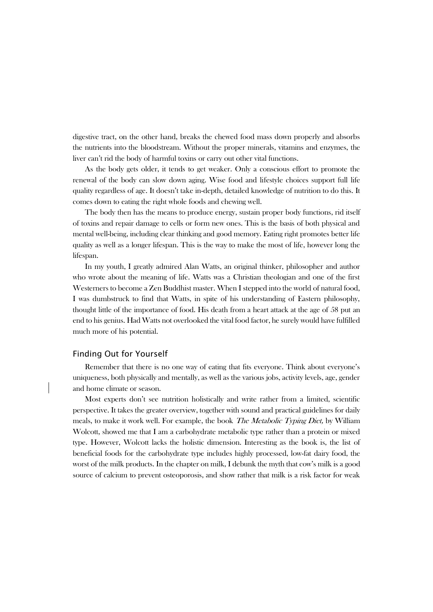digestive tract, on the other hand, breaks the chewed food mass down properly and absorbs the nutrients into the bloodstream. Without the proper minerals, vitamins and enzymes, the liver can't rid the body of harmful toxins or carry out other vital functions.

As the body gets older, it tends to get weaker. Only a conscious effort to promote the renewal of the body can slow down aging. Wise food and lifestyle choices support full life quality regardless of age. It doesn't take in-depth, detailed knowledge of nutrition to do this. It comes down to eating the right whole foods and chewing well.

The body then has the means to produce energy, sustain proper body functions, rid itself of toxins and repair damage to cells or form new ones. This is the basis of both physical and mental well-being, including clear thinking and good memory. Eating right promotes better life quality as well as a longer lifespan. This is the way to make the most of life, however long the lifespan.

In my youth, I greatly admired Alan Watts, an original thinker, philosopher and author who wrote about the meaning of life. Watts was a Christian theologian and one of the first Westerners to become a Zen Buddhist master. When I stepped into the world of natural food, I was dumbstruck to find that Watts, in spite of his understanding of Eastern philosophy, thought little of the importance of food. His death from a heart attack at the age of 58 put an end to his genius. Had Watts not overlooked the vital food factor, he surely would have fulfilled much more of his potential.

#### Finding Out for Yourself

Remember that there is no one way of eating that fits everyone. Think about everyone's uniqueness, both physically and mentally, as well as the various jobs, activity levels, age, gender and home climate or season.

Most experts don't see nutrition holistically and write rather from a limited, scientific perspective. It takes the greater overview, together with sound and practical guidelines for daily meals, to make it work well. For example, the book *The Metabolic Typing Diet*, by William Wolcott, showed me that I am a carbohydrate metabolic type rather than a protein or mixed type. However, Wolcott lacks the holistic dimension. Interesting as the book is, the list of beneficial foods for the carbohydrate type includes highly processed, low-fat dairy food, the worst of the milk products. In the chapter on milk, I debunk the myth that cow's milk is a good source of calcium to prevent osteoporosis, and show rather that milk is a risk factor for weak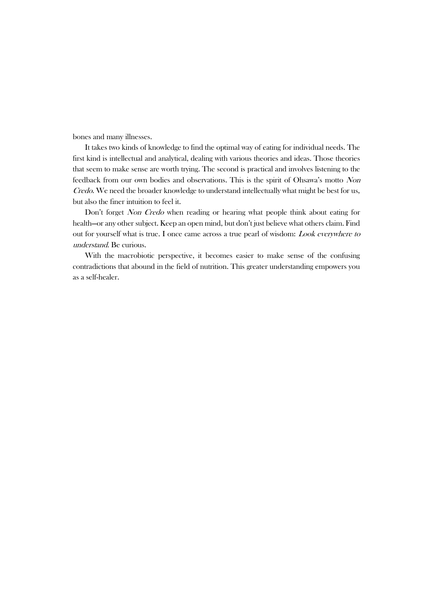bones and many illnesses.

It takes two kinds of knowledge to find the optimal way of eating for individual needs. The first kind is intellectual and analytical, dealing with various theories and ideas. Those theories that seem to make sense are worth trying. The second is practical and involves listening to the feedback from our own bodies and observations. This is the spirit of Ohsawa's motto Non Credo. We need the broader knowledge to understand intellectually what might be best for us, but also the finer intuition to feel it.

Don't forget Non Credo when reading or hearing what people think about eating for health—or any other subject. Keep an open mind, but don't just believe what others claim. Find out for yourself what is true. I once came across a true pearl of wisdom: Look everywhere to understand. Be curious.

With the macrobiotic perspective, it becomes easier to make sense of the confusing contradictions that abound in the field of nutrition. This greater understanding empowers you as a self-healer.